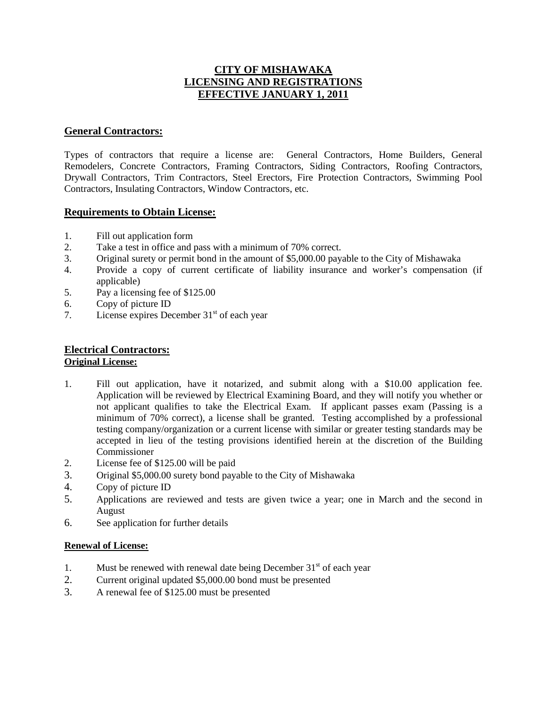## **CITY OF MISHAWAKA LICENSING AND REGISTRATIONS EFFECTIVE JANUARY 1, 2011**

## **General Contractors:**

Types of contractors that require a license are: General Contractors, Home Builders, General Remodelers, Concrete Contractors, Framing Contractors, Siding Contractors, Roofing Contractors, Drywall Contractors, Trim Contractors, Steel Erectors, Fire Protection Contractors, Swimming Pool Contractors, Insulating Contractors, Window Contractors, etc.

### **Requirements to Obtain License:**

- 1. Fill out application form
- 2. Take a test in office and pass with a minimum of 70% correct.
- 3. Original surety or permit bond in the amount of \$5,000.00 payable to the City of Mishawaka
- 4. Provide a copy of current certificate of liability insurance and worker's compensation (if applicable)
- 5. Pay a licensing fee of \$125.00
- 6. Copy of picture ID
- 7. License expires December  $31<sup>st</sup>$  of each year

# **Electrical Contractors:**

## **Original License:**

- 1. Fill out application, have it notarized, and submit along with a \$10.00 application fee. Application will be reviewed by Electrical Examining Board, and they will notify you whether or not applicant qualifies to take the Electrical Exam. If applicant passes exam (Passing is a minimum of 70% correct), a license shall be granted. Testing accomplished by a professional testing company/organization or a current license with similar or greater testing standards may be accepted in lieu of the testing provisions identified herein at the discretion of the Building Commissioner
- 2. License fee of \$125.00 will be paid
- 3. Original \$5,000.00 surety bond payable to the City of Mishawaka
- 4. Copy of picture ID
- 5. Applications are reviewed and tests are given twice a year; one in March and the second in August
- 6. See application for further details

#### **Renewal of License:**

- 1. Must be renewed with renewal date being December  $31<sup>st</sup>$  of each year
- 2. Current original updated \$5,000.00 bond must be presented
- 3. A renewal fee of \$125.00 must be presented